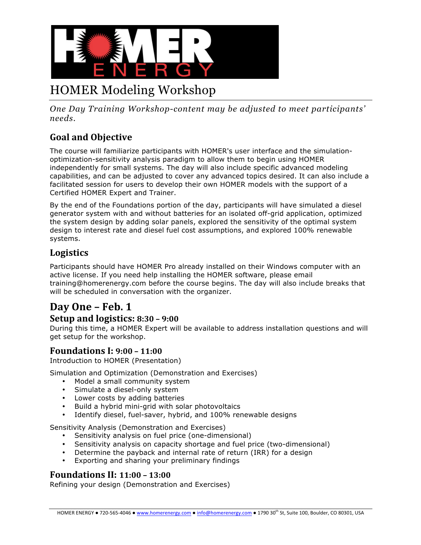

# HOMER Modeling Workshop

*One Day Training Workshop-content may be adjusted to meet participants' needs.*

# **Goal and Objective**

The course will familiarize participants with HOMER's user interface and the simulationoptimization-sensitivity analysis paradigm to allow them to begin using HOMER independently for small systems. The day will also include specific advanced modeling capabilities, and can be adjusted to cover any advanced topics desired. It can also include a facilitated session for users to develop their own HOMER models with the support of a Certified HOMER Expert and Trainer.

By the end of the Foundations portion of the day, participants will have simulated a diesel generator system with and without batteries for an isolated off-grid application, optimized the system design by adding solar panels, explored the sensitivity of the optimal system design to interest rate and diesel fuel cost assumptions, and explored 100% renewable systems.

### **Logistics**

Participants should have HOMER Pro already installed on their Windows computer with an active license. If you need help installing the HOMER software, please email training@homerenergy.com before the course begins. The day will also include breaks that will be scheduled in conversation with the organizer.

# **Day One – Feb. 1**

#### **Setup and logistics: 8:30 – 9:00**

During this time, a HOMER Expert will be available to address installation questions and will get setup for the workshop.

#### **Foundations I: 9:00 – 11:00**

Introduction to HOMER (Presentation)

Simulation and Optimization (Demonstration and Exercises)

- Model a small community system
- Simulate a diesel-only system
- Lower costs by adding batteries
- Build a hybrid mini-grid with solar photovoltaics
- Identify diesel, fuel-saver, hybrid, and 100% renewable designs

Sensitivity Analysis (Demonstration and Exercises)

- Sensitivity analysis on fuel price (one-dimensional)
- Sensitivity analysis on capacity shortage and fuel price (two-dimensional)
- Determine the payback and internal rate of return (IRR) for a design
- Exporting and sharing your preliminary findings

#### **Foundations II: 11:00 – 13:00**

Refining your design (Demonstration and Exercises)